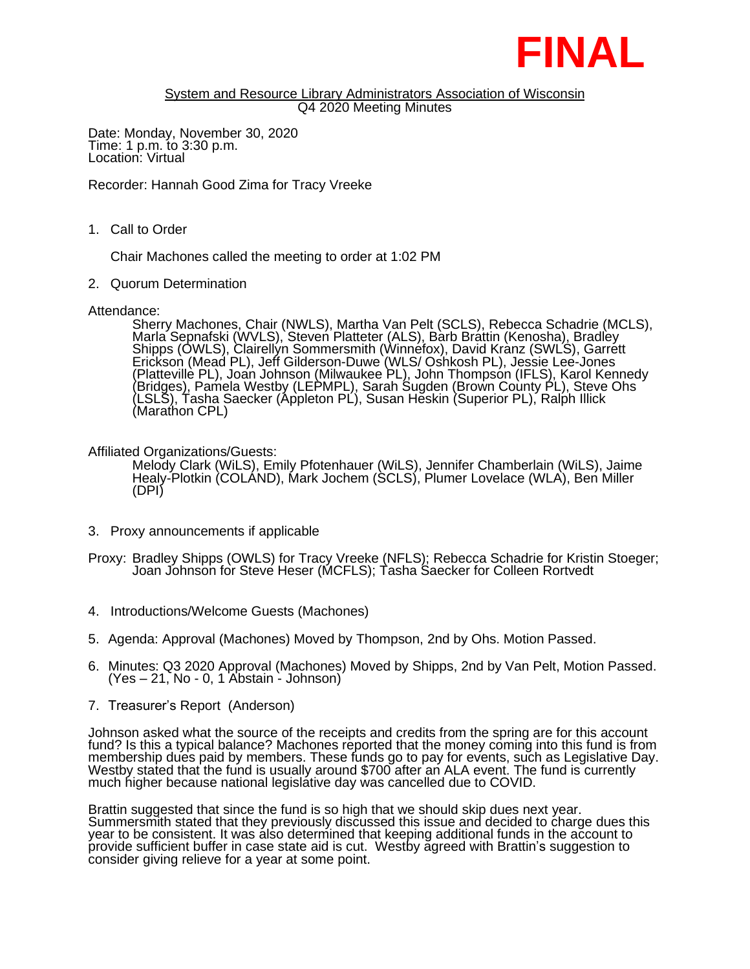

## System and Resource Library Administrators Association of Wisconsin Q4 2020 Meeting Minutes

Date: Monday, November 30, 2020 Time: 1 p.m. to 3:30 p.m. Location: Virtual

Recorder: Hannah Good Zima for Tracy Vreeke

1. Call to Order

Chair Machones called the meeting to order at 1:02 PM

2. Quorum Determination

Attendance:

Sherry Machones, Chair (NWLS), Martha Van Pelt (SCLS), Rebecca Schadrie (MCLS), Marla Sepnafski (WVLS), Steven Platteter (ALS), Barb Brattin (Kenosha), Bradley Shipps (OWLS), Clairellýn Sommersmith (Winnéfox), David Kranz (SWLS), Garrett Erickson (Mead PL), Jeff Gilderson-Duwe (WLS/ Oshkosh PL), Jessie Lee-Jones (Plattevillè PL), Joan Johnson (Milwaukee PL), John Thompson (IFLS), Karol Kennedy (Bridges), Pamela Westby (LEPMPL), Sarah Sugden (Brown County PL), Steve Ohs (LSLS), Tasha Saecker (Appleton PL), Susan Heskin (Superior PL), Ralph Illick (Marathon CPL)

## Affiliated Organizations/Guests:

Melody Clark (WiLS), Emily Pfotenhauer (WiLS), Jennifer Chamberlain (WiLS), Jaime Healy-Plotkin (COLAND), Mark Jochem (SCLS), Plumer Lovelace (WLA), Ben Miller (DPI)

- 3. Proxy announcements if applicable
- Proxy: Bradley Shipps (OWLS) for Tracy Vreeke (NFLS); Rebecca Schadrie for Kristin Stoeger; Joan Johnson for Steve Heser (MCFLS); Tasha Saecker for Colleen Rortvedt
- 4. Introductions/Welcome Guests (Machones)
- 5. Agenda: Approval (Machones) Moved by Thompson, 2nd by Ohs. Motion Passed.
- 6. Minutes: Q3 2020 Approval (Machones) Moved by Shipps, 2nd by Van Pelt, Motion Passed. (Yes – 21, No - 0, 1 Abstain - Johnson)
- 7. Treasurer's Report (Anderson)

Johnson asked what the source of the receipts and credits from the spring are for this account fund? Is this a typical balance? Machones reported that the money coming into this fund is from membership dues paid by members. These funds go to pay for events, such as Legislative Day. Westby stated that the fund is usually around \$700 after an ALA event. The fund is currently much higher because national legislative day was cancelled due to COVID.

Brattin suggested that since the fund is so high that we should skip dues next year. Summersmith stated that they previously discussed this issue and decided to charge dues this year to be consistent. It was álso determined that keeping additional funds in the account to provide sufficient buffer in case state aid is cut. Westby agreed with Brattin's suggestion to consider giving relieve for a year at some point.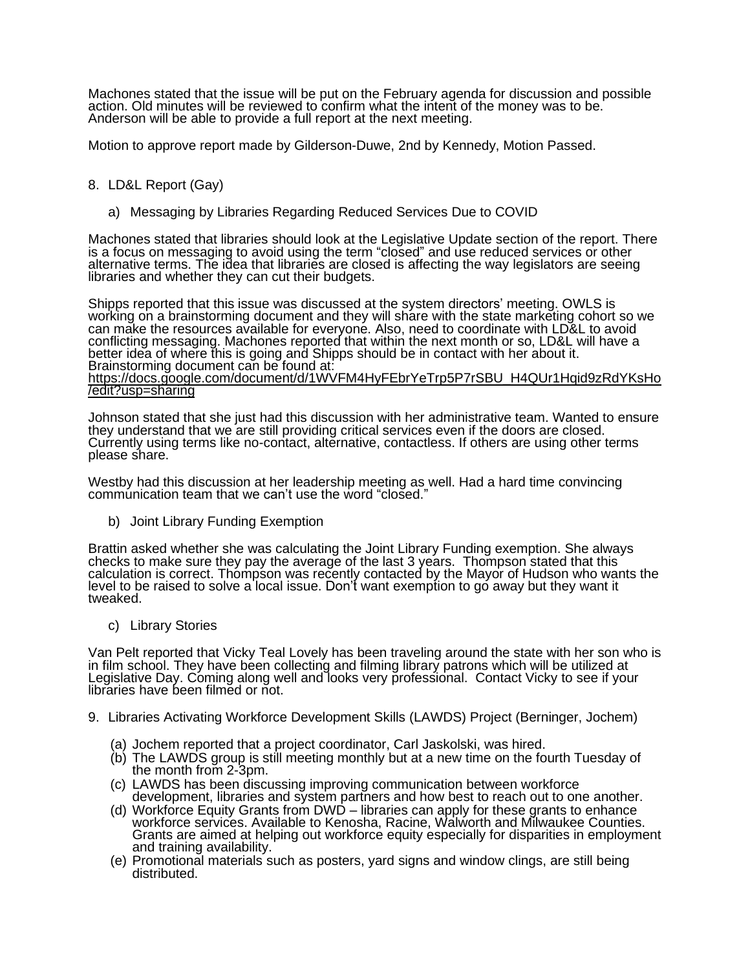Machones stated that the issue will be put on the February agenda for discussion and possible action. Old minutes will be reviewed to confirm what the intent of the money was to be. Anderson will be able to provide a full report at the next meeting.

Motion to approve report made by Gilderson-Duwe, 2nd by Kennedy, Motion Passed.

## 8. LD&L Report (Gay)

a) Messaging by Libraries Regarding Reduced Services Due to COVID

Machones stated that libraries should look at the Legislative Update section of the report. There is a focus on messaging to avoid using the term "closed" and use reduced services or other alternative terms. The idea that libraries are closed is affecting the way legislators are seeing libraries and whether they can cut their budgets.

Shipps reported that this issue was discussed at the system directors' meeting. OWLS is working on a brainstorming document and they will share with the state marketing cohort so we can make the resources available for everyone. Also, need to coordinate with LD&L to avoid conflicting messaging. Machones reported that within the next month or so, LD&L will have a better idea of where this is going and Shipps should be in contact with her about it. Brainstorming document can be found at: [https://docs.google.com/document/d/1WVFM4HyFEbrYeTrp5P7rSBU\\_H4QUr1Hqid9zRdYKsHo](https://docs.google.com/document/d/1WVFM4HyFEbrYeTrp5P7rSBU_H4QUr1Hqid9zRdYKsHo/edit?usp=sharing) [/edit?usp=sharing](https://docs.google.com/document/d/1WVFM4HyFEbrYeTrp5P7rSBU_H4QUr1Hqid9zRdYKsHo/edit?usp=sharing)

Johnson stated that she just had this discussion with her administrative team. Wanted to ensure they understand that we are still providing critical services even if the doors are closed. Currently using terms like no-contact, alternative, contactless. If others are using other terms please share.

Westby had this discussion at her leadership meeting as well. Had a hard time convincing communication team that we can't use the word "closed."

b) Joint Library Funding Exemption

Brattin asked whether she was calculating the Joint Library Funding exemption. She always checks to make sure they pay the average of the last 3 years. Thompson stated that this calculation is correct. Thompson was recently contacted by the Mayor of Hudson who wants the level to be raised to solve a local issue. Don't want exemption to go away but they want it tweaked.

c) Library Stories

Van Pelt reported that Vicky Teal Lovely has been traveling around the state with her son who is in film school. They have been collecting and filming library patrons which will be utilized at Legislative Day. Coming along well and looks very professional. Contact Vicky to see if your libraries have been filmed or not.

- 9. Libraries Activating Workforce Development Skills (LAWDS) Project (Berninger, Jochem)
	- (a) Jochem reported that a project coordinator, Carl Jaskolski, was hired.
	- (b) The LAWDS group is still meeting monthly but at a new time on the fourth Tuesday of the month from 2-3pm.
	- (c) LAWDS has been discussing improving communication between workforce development, libraries and system partners and how best to reach out to one another.
	- (d) Workforce Equity Grants from DWD libraries can apply for these grants to enhance workforce services. Available to Kenosha, Racine, Walworth and Milwaukee Counties. Grants are aimed at helping out workforce equity especially for disparities in employment and training availability.
	- (e) Promotional materials such as posters, yard signs and window clings, are still being distributed.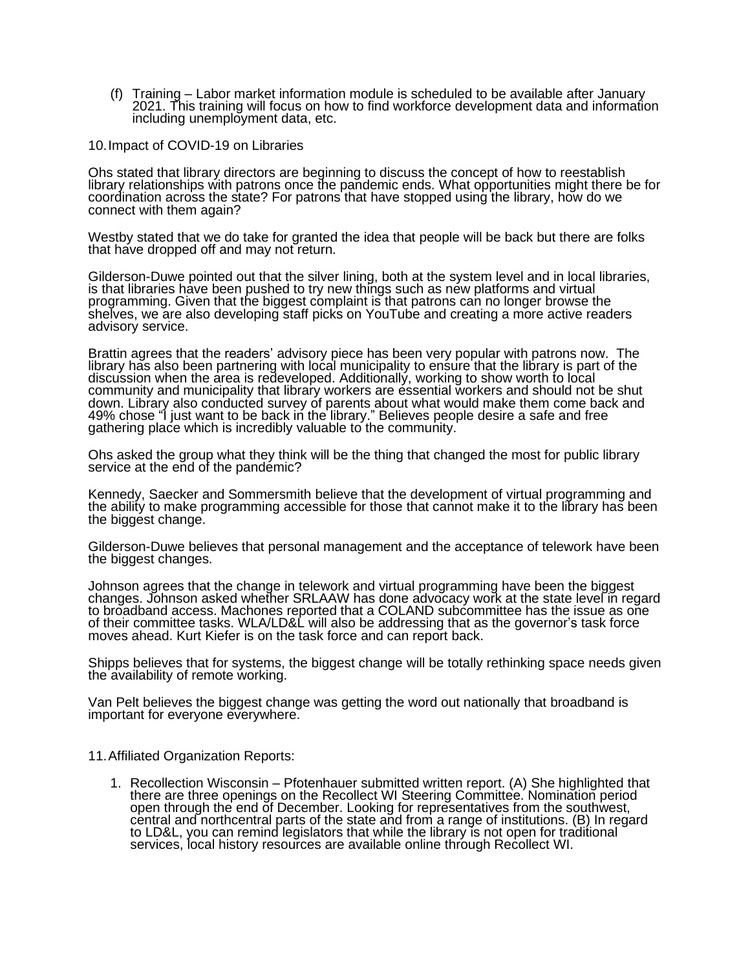(f) Training – Labor market information module is scheduled to be available after January 2021. This training will focus on how to find workforce development data and information including unemployment data, etc.

10.Impact of COVID-19 on Libraries

Ohs stated that library directors are beginning to discuss the concept of how to reestablish library relationships with patrons once the pandemic ends. What opportunities might there be for coordination across the state? For patrons that have stopped using the library, how do we connect with them again?

Westby stated that we do take for granted the idea that people will be back but there are folks that have dropped off and may not return.

Gilderson-Duwe pointed out that the silver lining, both at the system level and in local libraries, is that libraries have been pushed to try new things such as new platforms and virtual programming. Given that the biggest complaint is that patrons can no longer browse the shelves, we are also developing staff picks on YouTube and creating a more active readers advisory service.

Brattin agrees that the readers' advisory piece has been very popular with patrons now. The library has also been partnering with local municipality to ensure that the library is part of the discussion when the area is redeveloped. Additionally, working to show worth to local community and municipality that library workers are essential workers and should not be shut down. Library also conducted survey of parents about what would make them come back and 49% chose "I just want to be back in the library." Believes people desire a safe and free gathering place which is incredibly valuable to the community.

Ohs asked the group what they think will be the thing that changed the most for public library service at the end of the pandemic?

Kennedy, Saecker and Sommersmith believe that the development of virtual programming and the ability to make programming accessible for those that cannot make it to the library has been the biggest change.

Gilderson-Duwe believes that personal management and the acceptance of telework have been the biggest changes.

Johnson agrees that the change in telework and virtual programming have been the biggest changes. Johnson asked whether SRLAAW has done advocacy work at the state level in regard to broadband access. Machones reported that a COLAND subcommittee has the issue as one of their committee tasks. WLA/LD&L will also be addressing that as the governor's task force moves ahead. Kurt Kiefer is on the task force and can report back.

Shipps believes that for systems, the biggest change will be totally rethinking space needs given the availability of remote working.

Van Pelt believes the biggest change was getting the word out nationally that broadband is important for everyone everywhere.

11.Affiliated Organization Reports:

1. Recollection Wisconsin – Pfotenhauer submitted written report. (A) She highlighted that there are three openings on the Recollect WI Steering Committee. Nomination period open through the end of December. Looking for representatives from the southwest, central and northcentral parts of the state and from a range of institutions. (B) In regard to LD&L, you can remind legislators that while the library is not open for traditional services, local history resources are available online through Recollect WI.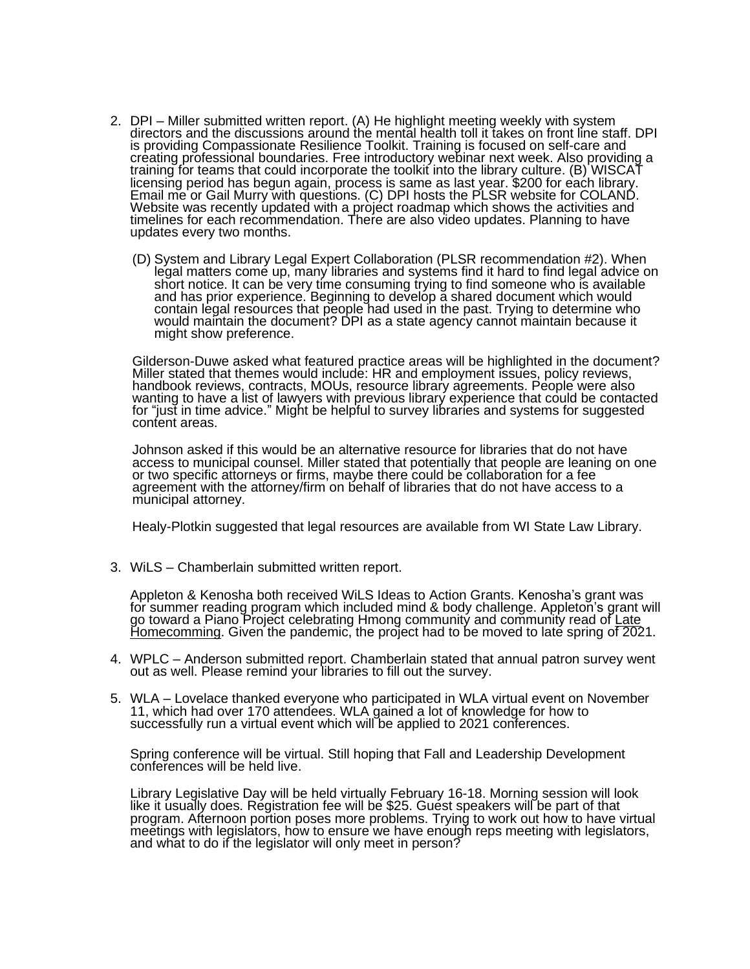- 2. DPI Miller submitted written report. (A) He highlight meeting weekly with system directors and the discussions around the mental health toll it takes on front line staff. DPI is providing Compassionate Resilience Toolkit. Training is focused on self-care and creating professional boundaries. Free introductory webinar next week. Also providing a training for teams that could incorporate the toolkit into the library culture. (B) WISCAT licensing period has begun again, process is same as last year. \$200 for each library. Email me or Gail Murry with questions. (C) DPI hosts the PLSR website for COLAND. Website was recently updated with a project roadmap which shows the activities and timelines for each recommendation. There are also video updates. Planning to have updates every two months.
	- (D) System and Library Legal Expert Collaboration (PLSR recommendation #2). When legal matters come up, many libraries and systems find it hard to find legal advice on short notice. It can be very time consuming trying to find someone who is available and has prior experience. Beginning to develop a shared document which would contain legal resources that people had used in the past. Trying to determine who would maintain the document? DPI as a state agency cannot maintain because it might show preference.

Gilderson-Duwe asked what featured practice areas will be highlighted in the document? Miller stated that themes would include: HR and employment issues, policy reviews, handbook reviews, contracts, MOUs, resource library agreements. People were also wanting to have a list of lawyers with previous library experience that could be contacted for "just in time advice." Might be helpful to survey libraries and systems for suggested content areas.

Johnson asked if this would be an alternative resource for libraries that do not have access to municipal counsel. Miller stated that potentially that people are leaning on one or two specific attorneys or firms, maybe there could be collaboration for a fee agreement with the attorney/firm on behalf of libraries that do not have access to a municipal attorney.

Healy-Plotkin suggested that legal resources are available from WI State Law Library.

3. WiLS – Chamberlain submitted written report.

Appleton & Kenosha both received WiLS Ideas to Action Grants. Kenosha's grant was for summer reading program which included mind & body challenge. Appleton's grant will go toward a Piano Project celebrating Hmong community and community read of <u>Late</u> <u>Homecomming</u>. Given the pandemic, the project had to be moved to late spring o<del>f 202</del>1.

- 4. WPLC Anderson submitted report. Chamberlain stated that annual patron survey went out as well. Please remind your libraries to fill out the survey.
- 5. WLA Lovelace thanked everyone who participated in WLA virtual event on November 11, which had over 170 attendees. WLA gained a lot of knowledge for how to successfully run a virtual event which will be applied to 2021 conferences.

Spring conference will be virtual. Still hoping that Fall and Leadership Development conferences will be held live.

Library Legislative Day will be held virtually February 16-18. Morning session will look like it usually does. Registration fee will be \$25. Guest speakers will be part of that program. Afternoon portion poses more problems. Trying to work out how to have virtual meetings with legislators, how to ensure we have enough reps meeting with legislators, and what to do if the legislator will only meet in person?